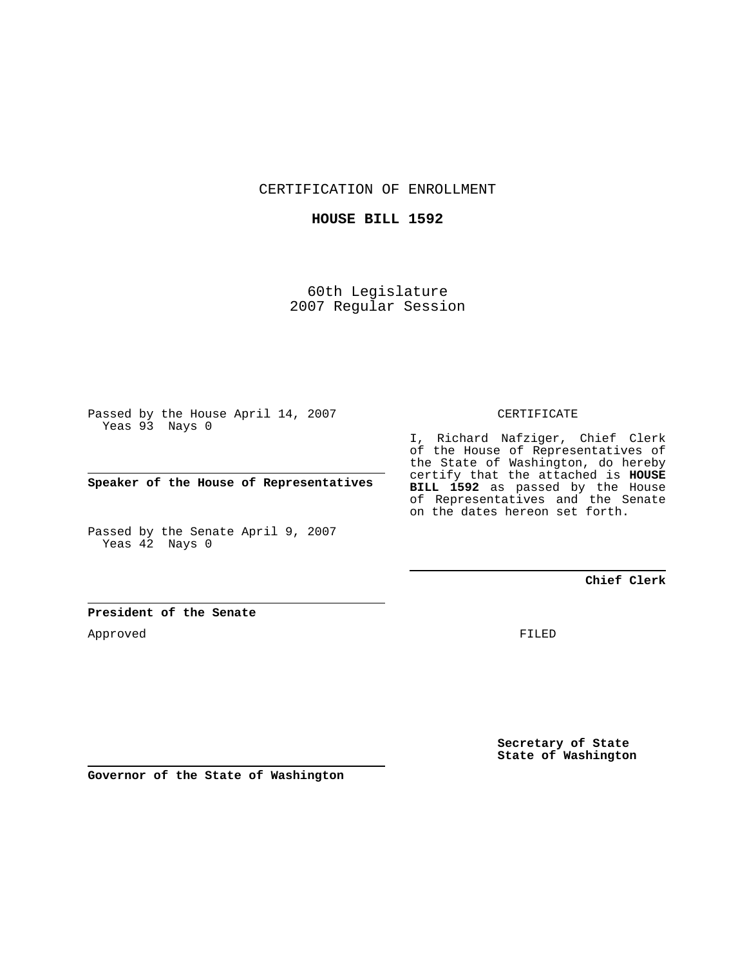CERTIFICATION OF ENROLLMENT

# **HOUSE BILL 1592**

60th Legislature 2007 Regular Session

Passed by the House April 14, 2007 Yeas 93 Nays 0

**Speaker of the House of Representatives**

Passed by the Senate April 9, 2007 Yeas 42 Nays 0

#### CERTIFICATE

I, Richard Nafziger, Chief Clerk of the House of Representatives of the State of Washington, do hereby certify that the attached is **HOUSE BILL 1592** as passed by the House of Representatives and the Senate on the dates hereon set forth.

## **Chief Clerk**

## **President of the Senate**

Approved

FILED

**Secretary of State State of Washington**

**Governor of the State of Washington**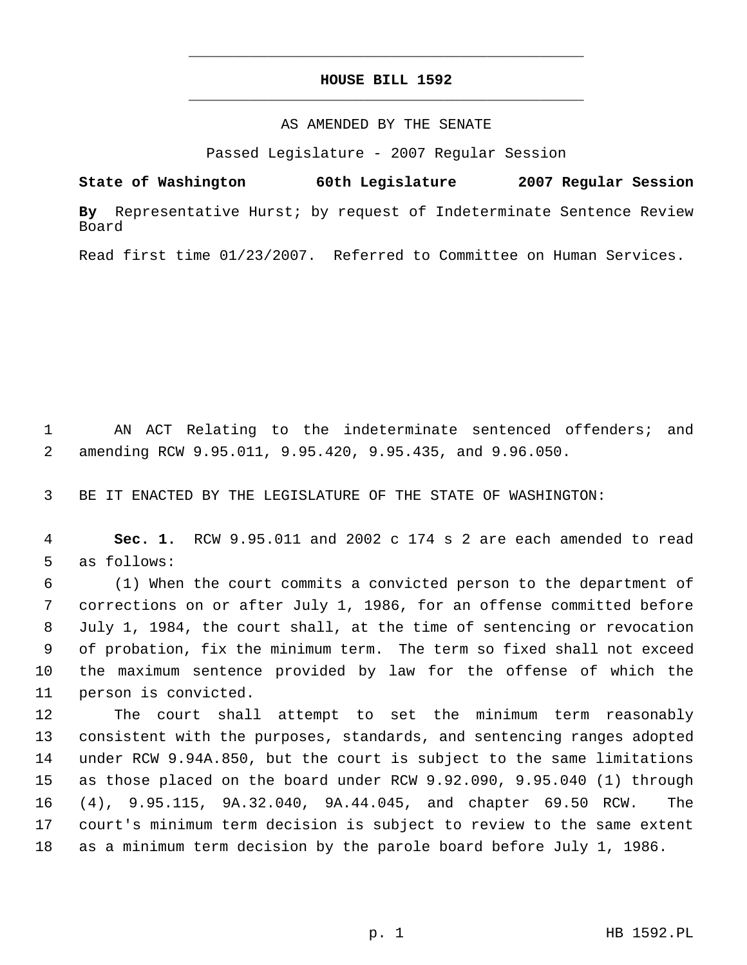# **HOUSE BILL 1592** \_\_\_\_\_\_\_\_\_\_\_\_\_\_\_\_\_\_\_\_\_\_\_\_\_\_\_\_\_\_\_\_\_\_\_\_\_\_\_\_\_\_\_\_\_

\_\_\_\_\_\_\_\_\_\_\_\_\_\_\_\_\_\_\_\_\_\_\_\_\_\_\_\_\_\_\_\_\_\_\_\_\_\_\_\_\_\_\_\_\_

### AS AMENDED BY THE SENATE

Passed Legislature - 2007 Regular Session

**State of Washington 60th Legislature 2007 Regular Session**

**By** Representative Hurst; by request of Indeterminate Sentence Review Board

Read first time 01/23/2007. Referred to Committee on Human Services.

 AN ACT Relating to the indeterminate sentenced offenders; and amending RCW 9.95.011, 9.95.420, 9.95.435, and 9.96.050.

BE IT ENACTED BY THE LEGISLATURE OF THE STATE OF WASHINGTON:

 **Sec. 1.** RCW 9.95.011 and 2002 c 174 s 2 are each amended to read as follows:

 (1) When the court commits a convicted person to the department of corrections on or after July 1, 1986, for an offense committed before July 1, 1984, the court shall, at the time of sentencing or revocation of probation, fix the minimum term. The term so fixed shall not exceed the maximum sentence provided by law for the offense of which the person is convicted.

 The court shall attempt to set the minimum term reasonably consistent with the purposes, standards, and sentencing ranges adopted under RCW 9.94A.850, but the court is subject to the same limitations as those placed on the board under RCW 9.92.090, 9.95.040 (1) through (4), 9.95.115, 9A.32.040, 9A.44.045, and chapter 69.50 RCW. The court's minimum term decision is subject to review to the same extent as a minimum term decision by the parole board before July 1, 1986.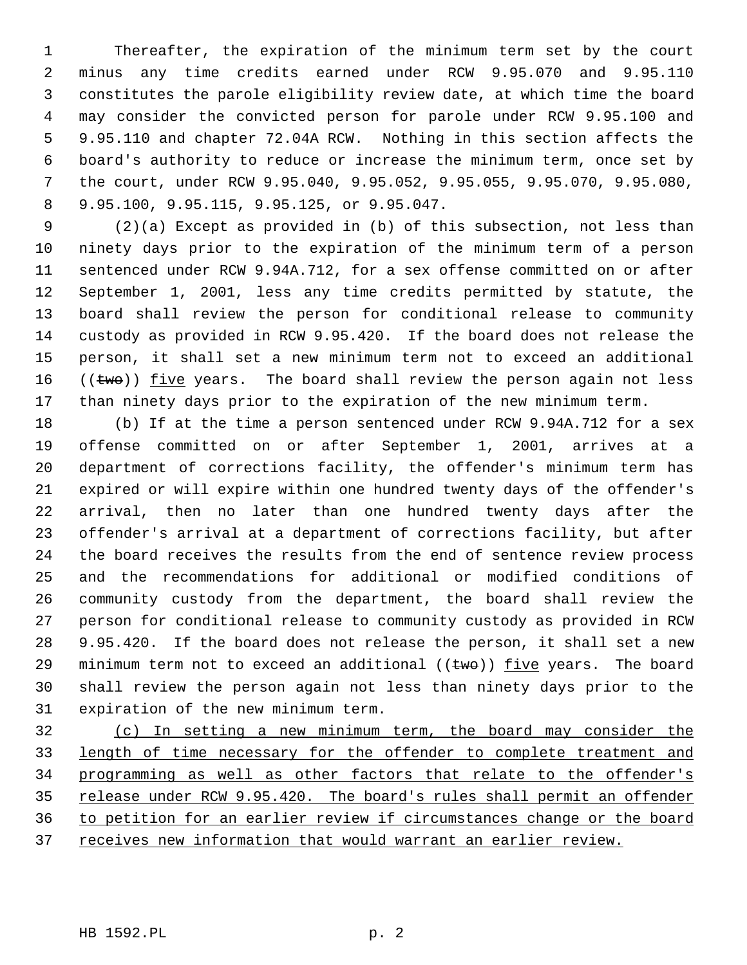Thereafter, the expiration of the minimum term set by the court minus any time credits earned under RCW 9.95.070 and 9.95.110 constitutes the parole eligibility review date, at which time the board may consider the convicted person for parole under RCW 9.95.100 and 9.95.110 and chapter 72.04A RCW. Nothing in this section affects the board's authority to reduce or increase the minimum term, once set by the court, under RCW 9.95.040, 9.95.052, 9.95.055, 9.95.070, 9.95.080, 9.95.100, 9.95.115, 9.95.125, or 9.95.047.

 (2)(a) Except as provided in (b) of this subsection, not less than ninety days prior to the expiration of the minimum term of a person sentenced under RCW 9.94A.712, for a sex offense committed on or after September 1, 2001, less any time credits permitted by statute, the board shall review the person for conditional release to community custody as provided in RCW 9.95.420. If the board does not release the person, it shall set a new minimum term not to exceed an additional  $((two))$  five years. The board shall review the person again not less than ninety days prior to the expiration of the new minimum term.

 (b) If at the time a person sentenced under RCW 9.94A.712 for a sex offense committed on or after September 1, 2001, arrives at a department of corrections facility, the offender's minimum term has expired or will expire within one hundred twenty days of the offender's arrival, then no later than one hundred twenty days after the offender's arrival at a department of corrections facility, but after the board receives the results from the end of sentence review process and the recommendations for additional or modified conditions of community custody from the department, the board shall review the person for conditional release to community custody as provided in RCW 9.95.420. If the board does not release the person, it shall set a new 29 minimum term not to exceed an additional  $((\text{two}))$  five years. The board shall review the person again not less than ninety days prior to the expiration of the new minimum term.

 (c) In setting a new minimum term, the board may consider the length of time necessary for the offender to complete treatment and programming as well as other factors that relate to the offender's 35 release under RCW 9.95.420. The board's rules shall permit an offender to petition for an earlier review if circumstances change or the board 37 receives new information that would warrant an earlier review.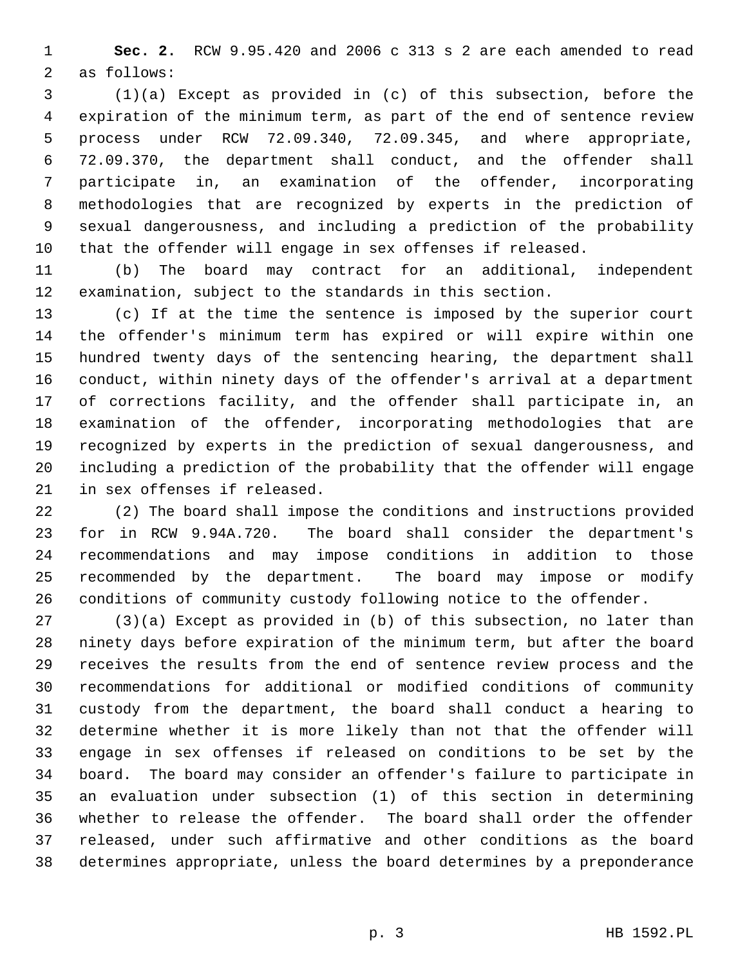**Sec. 2.** RCW 9.95.420 and 2006 c 313 s 2 are each amended to read as follows:

 (1)(a) Except as provided in (c) of this subsection, before the expiration of the minimum term, as part of the end of sentence review process under RCW 72.09.340, 72.09.345, and where appropriate, 72.09.370, the department shall conduct, and the offender shall participate in, an examination of the offender, incorporating methodologies that are recognized by experts in the prediction of sexual dangerousness, and including a prediction of the probability that the offender will engage in sex offenses if released.

 (b) The board may contract for an additional, independent examination, subject to the standards in this section.

 (c) If at the time the sentence is imposed by the superior court the offender's minimum term has expired or will expire within one hundred twenty days of the sentencing hearing, the department shall conduct, within ninety days of the offender's arrival at a department of corrections facility, and the offender shall participate in, an examination of the offender, incorporating methodologies that are recognized by experts in the prediction of sexual dangerousness, and including a prediction of the probability that the offender will engage in sex offenses if released.

 (2) The board shall impose the conditions and instructions provided for in RCW 9.94A.720. The board shall consider the department's recommendations and may impose conditions in addition to those recommended by the department. The board may impose or modify conditions of community custody following notice to the offender.

 (3)(a) Except as provided in (b) of this subsection, no later than ninety days before expiration of the minimum term, but after the board receives the results from the end of sentence review process and the recommendations for additional or modified conditions of community custody from the department, the board shall conduct a hearing to determine whether it is more likely than not that the offender will engage in sex offenses if released on conditions to be set by the board. The board may consider an offender's failure to participate in an evaluation under subsection (1) of this section in determining whether to release the offender. The board shall order the offender released, under such affirmative and other conditions as the board determines appropriate, unless the board determines by a preponderance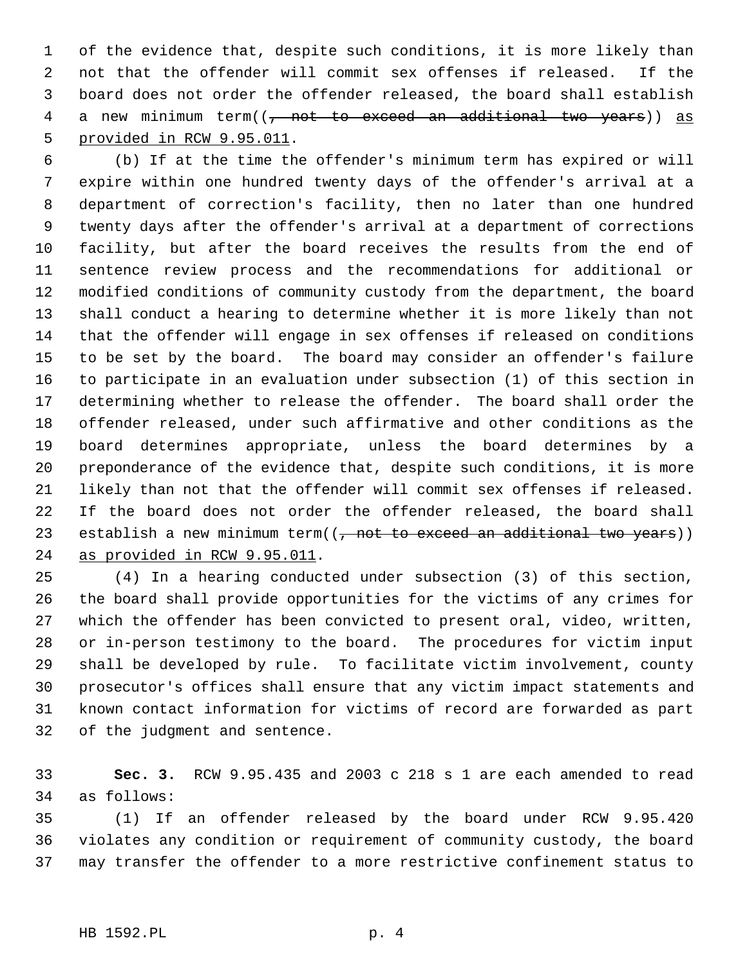of the evidence that, despite such conditions, it is more likely than not that the offender will commit sex offenses if released. If the board does not order the offender released, the board shall establish 4 a new minimum term((<del>, not to exceed an additional two years</del>)) as provided in RCW 9.95.011.

 (b) If at the time the offender's minimum term has expired or will expire within one hundred twenty days of the offender's arrival at a department of correction's facility, then no later than one hundred twenty days after the offender's arrival at a department of corrections facility, but after the board receives the results from the end of sentence review process and the recommendations for additional or modified conditions of community custody from the department, the board shall conduct a hearing to determine whether it is more likely than not that the offender will engage in sex offenses if released on conditions to be set by the board. The board may consider an offender's failure to participate in an evaluation under subsection (1) of this section in determining whether to release the offender. The board shall order the offender released, under such affirmative and other conditions as the board determines appropriate, unless the board determines by a preponderance of the evidence that, despite such conditions, it is more likely than not that the offender will commit sex offenses if released. If the board does not order the offender released, the board shall 23 establish a new minimum term((, not to exceed an additional two years)) as provided in RCW 9.95.011.

 (4) In a hearing conducted under subsection (3) of this section, the board shall provide opportunities for the victims of any crimes for which the offender has been convicted to present oral, video, written, or in-person testimony to the board. The procedures for victim input shall be developed by rule. To facilitate victim involvement, county prosecutor's offices shall ensure that any victim impact statements and known contact information for victims of record are forwarded as part of the judgment and sentence.

 **Sec. 3.** RCW 9.95.435 and 2003 c 218 s 1 are each amended to read as follows:

 (1) If an offender released by the board under RCW 9.95.420 violates any condition or requirement of community custody, the board may transfer the offender to a more restrictive confinement status to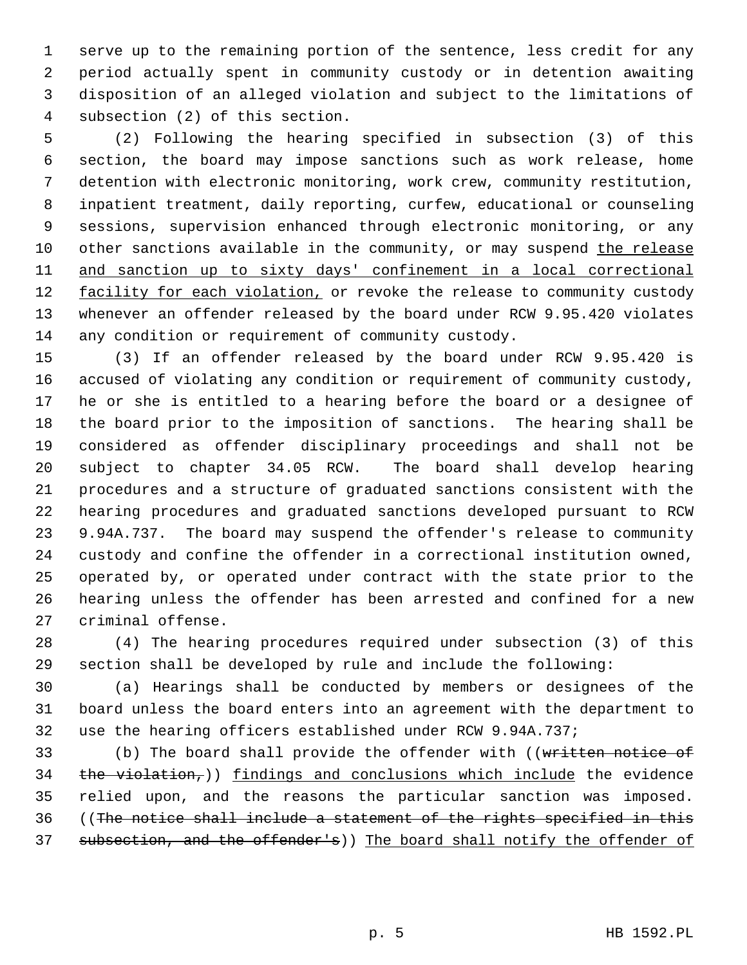serve up to the remaining portion of the sentence, less credit for any period actually spent in community custody or in detention awaiting disposition of an alleged violation and subject to the limitations of subsection (2) of this section.

 (2) Following the hearing specified in subsection (3) of this section, the board may impose sanctions such as work release, home detention with electronic monitoring, work crew, community restitution, inpatient treatment, daily reporting, curfew, educational or counseling sessions, supervision enhanced through electronic monitoring, or any 10 other sanctions available in the community, or may suspend the release and sanction up to sixty days' confinement in a local correctional 12 facility for each violation, or revoke the release to community custody whenever an offender released by the board under RCW 9.95.420 violates any condition or requirement of community custody.

 (3) If an offender released by the board under RCW 9.95.420 is accused of violating any condition or requirement of community custody, he or she is entitled to a hearing before the board or a designee of the board prior to the imposition of sanctions. The hearing shall be considered as offender disciplinary proceedings and shall not be subject to chapter 34.05 RCW. The board shall develop hearing procedures and a structure of graduated sanctions consistent with the hearing procedures and graduated sanctions developed pursuant to RCW 9.94A.737. The board may suspend the offender's release to community custody and confine the offender in a correctional institution owned, operated by, or operated under contract with the state prior to the hearing unless the offender has been arrested and confined for a new criminal offense.

 (4) The hearing procedures required under subsection (3) of this section shall be developed by rule and include the following:

 (a) Hearings shall be conducted by members or designees of the board unless the board enters into an agreement with the department to use the hearing officers established under RCW 9.94A.737;

33 (b) The board shall provide the offender with ((written notice of 34  $the violation$ ,)) findings and conclusions which include the evidence relied upon, and the reasons the particular sanction was imposed. ((The notice shall include a statement of the rights specified in this 37 subsection, and the offender's)) The board shall notify the offender of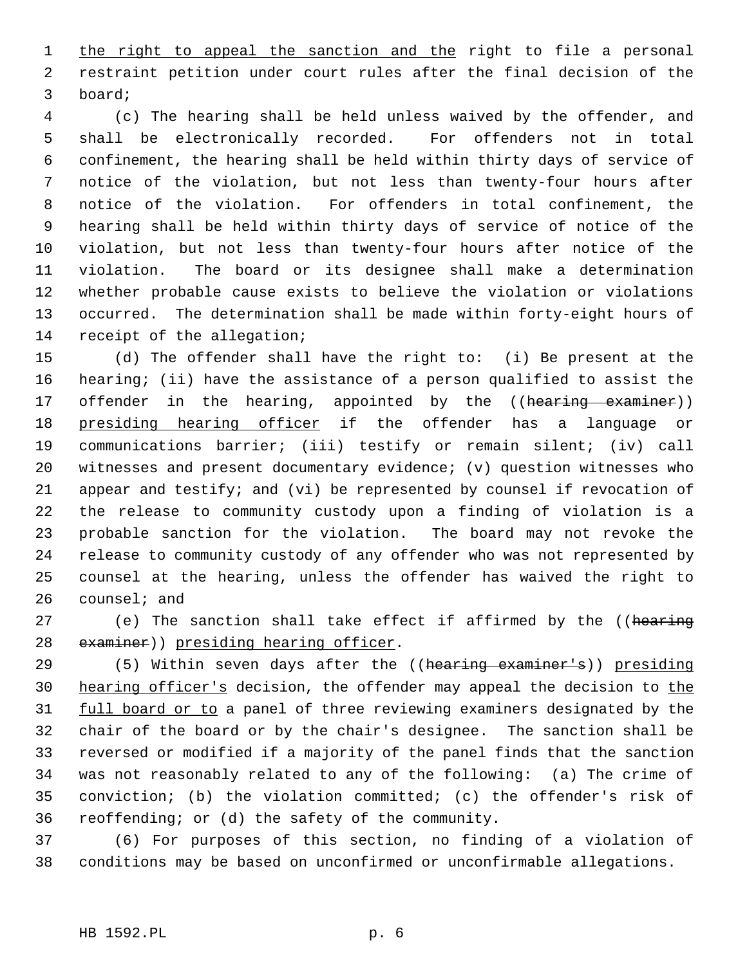1 the right to appeal the sanction and the right to file a personal restraint petition under court rules after the final decision of the board;

 (c) The hearing shall be held unless waived by the offender, and shall be electronically recorded. For offenders not in total confinement, the hearing shall be held within thirty days of service of notice of the violation, but not less than twenty-four hours after notice of the violation. For offenders in total confinement, the hearing shall be held within thirty days of service of notice of the violation, but not less than twenty-four hours after notice of the violation. The board or its designee shall make a determination whether probable cause exists to believe the violation or violations occurred. The determination shall be made within forty-eight hours of receipt of the allegation;

 (d) The offender shall have the right to: (i) Be present at the hearing; (ii) have the assistance of a person qualified to assist the 17 offender in the hearing, appointed by the ((hearing examiner)) 18 presiding hearing officer if the offender has a language or communications barrier; (iii) testify or remain silent; (iv) call witnesses and present documentary evidence; (v) question witnesses who appear and testify; and (vi) be represented by counsel if revocation of the release to community custody upon a finding of violation is a probable sanction for the violation. The board may not revoke the release to community custody of any offender who was not represented by counsel at the hearing, unless the offender has waived the right to counsel; and

27 (e) The sanction shall take effect if affirmed by the ((hearing 28 examiner)) presiding hearing officer.

29 (5) Within seven days after the ((hearing examiner's)) presiding 30 hearing officer's decision, the offender may appeal the decision to the 31 full board or to a panel of three reviewing examiners designated by the chair of the board or by the chair's designee. The sanction shall be reversed or modified if a majority of the panel finds that the sanction was not reasonably related to any of the following: (a) The crime of conviction; (b) the violation committed; (c) the offender's risk of reoffending; or (d) the safety of the community.

 (6) For purposes of this section, no finding of a violation of conditions may be based on unconfirmed or unconfirmable allegations.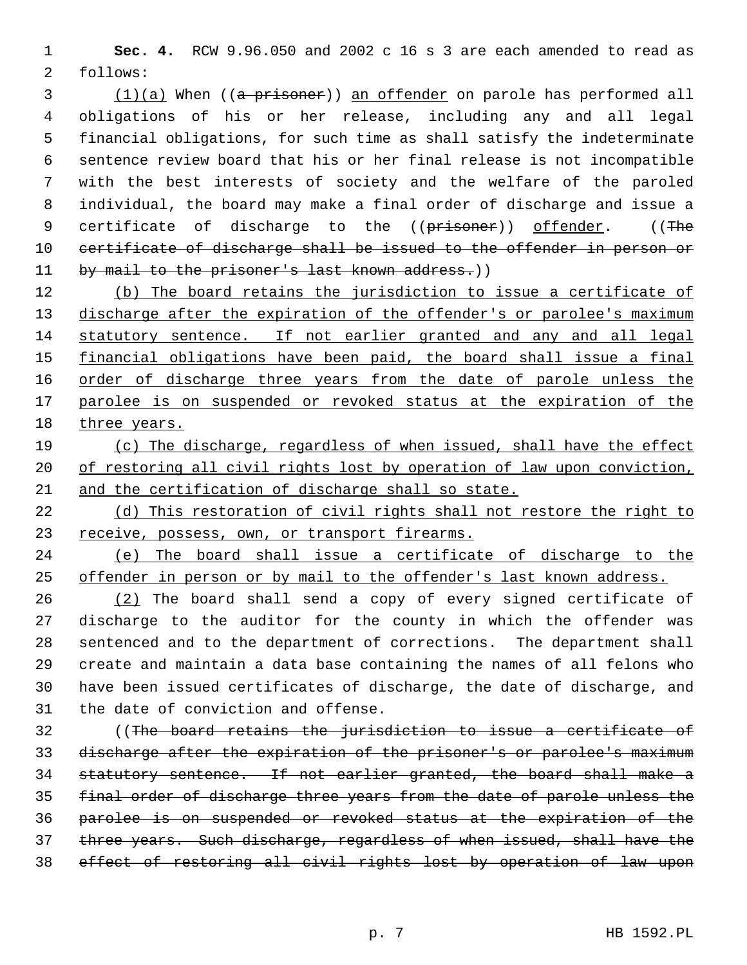**Sec. 4.** RCW 9.96.050 and 2002 c 16 s 3 are each amended to read as follows:

3 (1)(a) When ((a prisoner)) an offender on parole has performed all obligations of his or her release, including any and all legal financial obligations, for such time as shall satisfy the indeterminate sentence review board that his or her final release is not incompatible with the best interests of society and the welfare of the paroled individual, the board may make a final order of discharge and issue a 9 certificate of discharge to the ((prisoner)) offender. ((The 10 certificate of discharge shall be issued to the offender in person or 11 by mail to the prisoner's last known address.))

12 (b) The board retains the jurisdiction to issue a certificate of 13 discharge after the expiration of the offender's or parolee's maximum statutory sentence. If not earlier granted and any and all legal 15 financial obligations have been paid, the board shall issue a final 16 order of discharge three years from the date of parole unless the 17 parolee is on suspended or revoked status at the expiration of the 18 three years.

 (c) The discharge, regardless of when issued, shall have the effect 20 of restoring all civil rights lost by operation of law upon conviction, and the certification of discharge shall so state.

 (d) This restoration of civil rights shall not restore the right to 23 receive, possess, own, or transport firearms.

 (e) The board shall issue a certificate of discharge to the offender in person or by mail to the offender's last known address.

 (2) The board shall send a copy of every signed certificate of discharge to the auditor for the county in which the offender was sentenced and to the department of corrections. The department shall create and maintain a data base containing the names of all felons who have been issued certificates of discharge, the date of discharge, and the date of conviction and offense.

 ((The board retains the jurisdiction to issue a certificate of discharge after the expiration of the prisoner's or parolee's maximum statutory sentence. If not earlier granted, the board shall make a final order of discharge three years from the date of parole unless the parolee is on suspended or revoked status at the expiration of the three years. Such discharge, regardless of when issued, shall have the effect of restoring all civil rights lost by operation of law upon